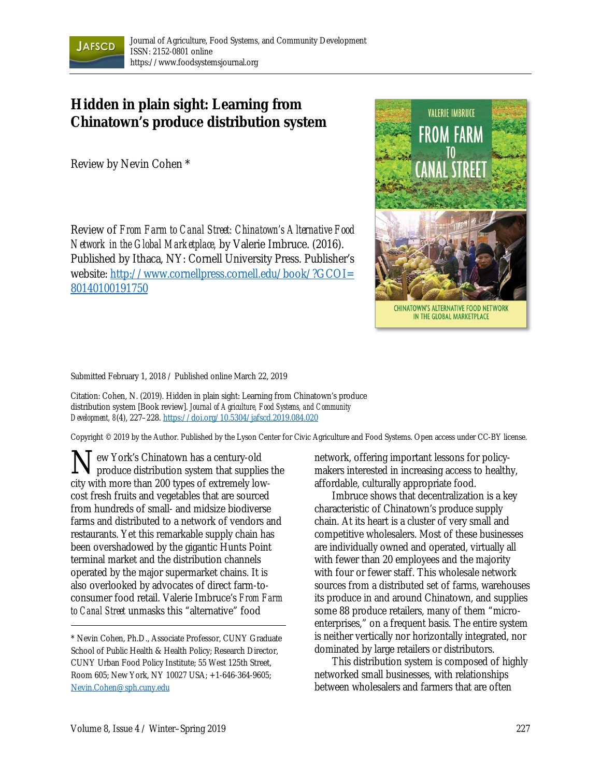

## **Hidden in plain sight: Learning from Chinatown's produce distribution system**

Review by Nevin Cohen \*

Review of *From Farm to Canal Street: Chinatown's Alternative Food Network in the Global Marketplace,* by Valerie Imbruce. (2016). Published by Ithaca, NY: Cornell University Press. Publisher's website: http://www.cornellpress.cornell.edu/book/?GCOI= 80140100191750



Submitted February 1, 2018 / Published online March 22, 2019

Citation: Cohen, N. (2019). Hidden in plain sight: Learning from Chinatown's produce distribution system [Book review]. *Journal of Agriculture, Food Systems, and Community Development, 8*(4), 227–228. https://doi.org/10.5304/jafscd.2019.084.020

Copyright © 2019 by the Author. Published by the Lyson Center for Civic Agriculture and Food Systems. Open access under CC-BY license.

ew York's Chinatown has a century-old produce distribution system that supplies the city with more than 200 types of extremely lowcost fresh fruits and vegetables that are sourced from hundreds of small- and midsize biodiverse farms and distributed to a network of vendors and restaurants. Yet this remarkable supply chain has been overshadowed by the gigantic Hunts Point terminal market and the distribution channels operated by the major supermarket chains. It is also overlooked by advocates of direct farm-toconsumer food retail. Valerie Imbruce's *From Farm to Canal Street* unmasks this "alternative" food  $\mathbf{N}_{p}^{e}$ 

network, offering important lessons for policymakers interested in increasing access to healthy, affordable, culturally appropriate food.

 Imbruce shows that decentralization is a key characteristic of Chinatown's produce supply chain. At its heart is a cluster of very small and competitive wholesalers. Most of these businesses are individually owned and operated, virtually all with fewer than 20 employees and the majority with four or fewer staff. This wholesale network sources from a distributed set of farms, warehouses its produce in and around Chinatown, and supplies some 88 produce retailers, many of them "microenterprises," on a frequent basis. The entire system is neither vertically nor horizontally integrated, nor dominated by large retailers or distributors.

 This distribution system is composed of highly networked small businesses, with relationships between wholesalers and farmers that are often

<sup>\*</sup> Nevin Cohen, Ph.D., Associate Professor, CUNY Graduate School of Public Health & Health Policy; Research Director, CUNY Urban Food Policy Institute; 55 West 125th Street, Room 605; New York, NY 10027 USA; +1-646-364-9605; Nevin.Cohen@sph.cuny.edu